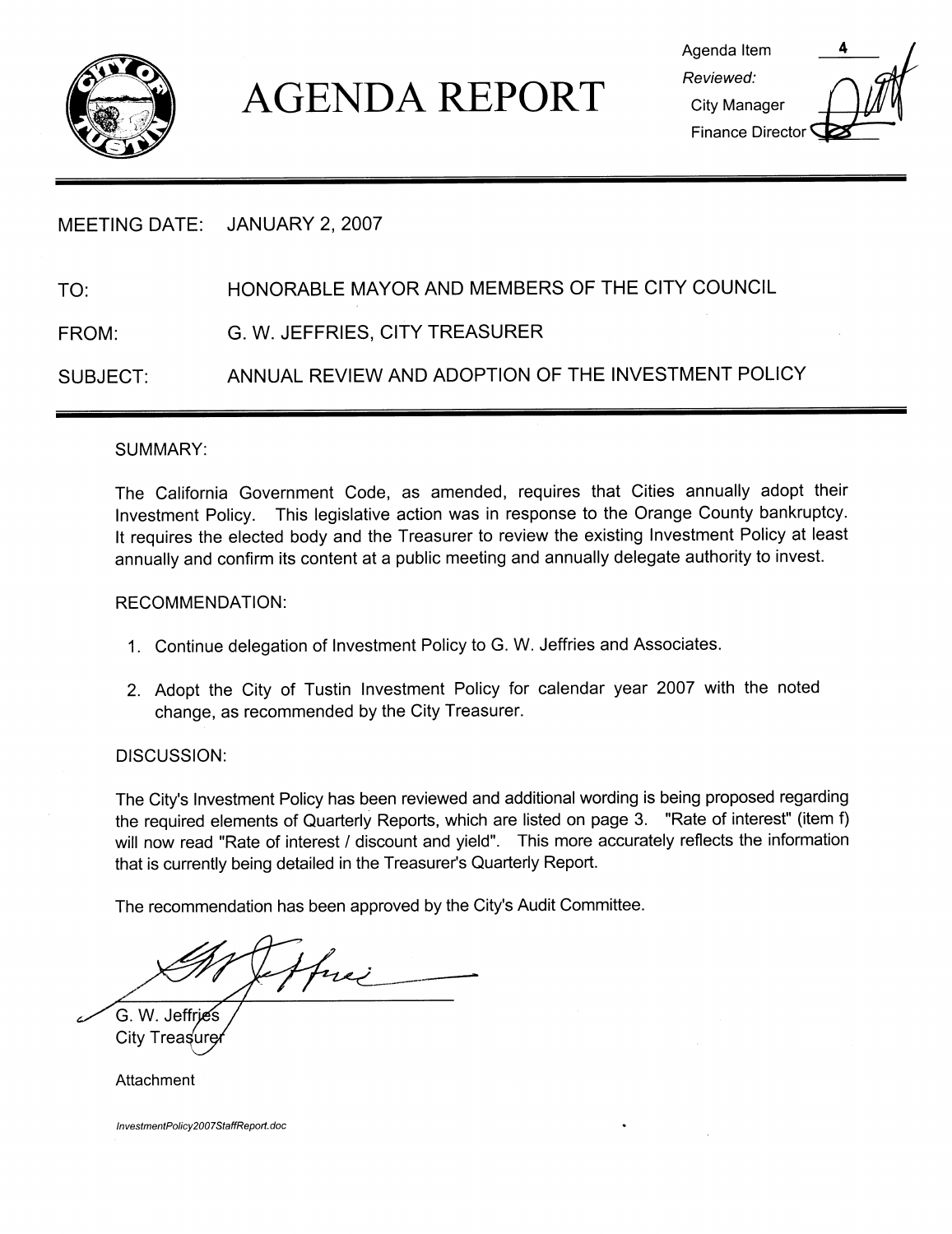

# **AGENDA REPORT**

| Agenda Item                  |  |
|------------------------------|--|
| Reviewed:                    |  |
| City Manager                 |  |
| Finance Director <sup></sup> |  |

## MEETING DATE: JANUARY 2, 2007

## TO: HONORABLE MAYOR AND MEMBERS OF THE CITY COUNCIL

FROM: G. W. JEFFRIES, CITY TREASURER

SUBJECT: ANNUAL REVIEW AND ADOPTION OF THE INVESTMENT POLICY

#### SUMMARY

The California Government Code, as amended, requires that Cities annually adopt their Investment Policy. This legislative action was in response to the Orange County bankruptcy. It requires the elected body and the Treasurer to review the existing Investment Policy at least annually and confirm its content at <sup>a</sup> public meeting and annually delegate authority to invest

#### RECOMMENDATION

- 1. Continue delegation of Investment Policy to G. W. Jeffries and Associates.
- 2 Adopt the City of Tustin Investment Policy for calendar year 2007 with the noted change, as recommended by the City Treasurer.

DISCUSSION:

DISCUSSION:<br>The City's Investment Policy has been reviewed and additional wording is being proposed regarding<br>the required elements of Quarterly Reports, which are listed on page 3. "Rate of interest" (item f)<br>will now rea the required elements of Quarterly Reports, which are listed on page 3. "Rate of interest" (item f) will now read "Rate of interest / discount and yield". This more accurately reflects the information that is currently being detailed in the Treasurer's Quarterly Report.

that is currently being detailed in the Treasurer's Quart<br>The recommendation has been approved by the City's Audit Committee

Hui -

G. W. Jeffries City Treasure

Attachment

InvestmentPolicy2007StaffReport.doc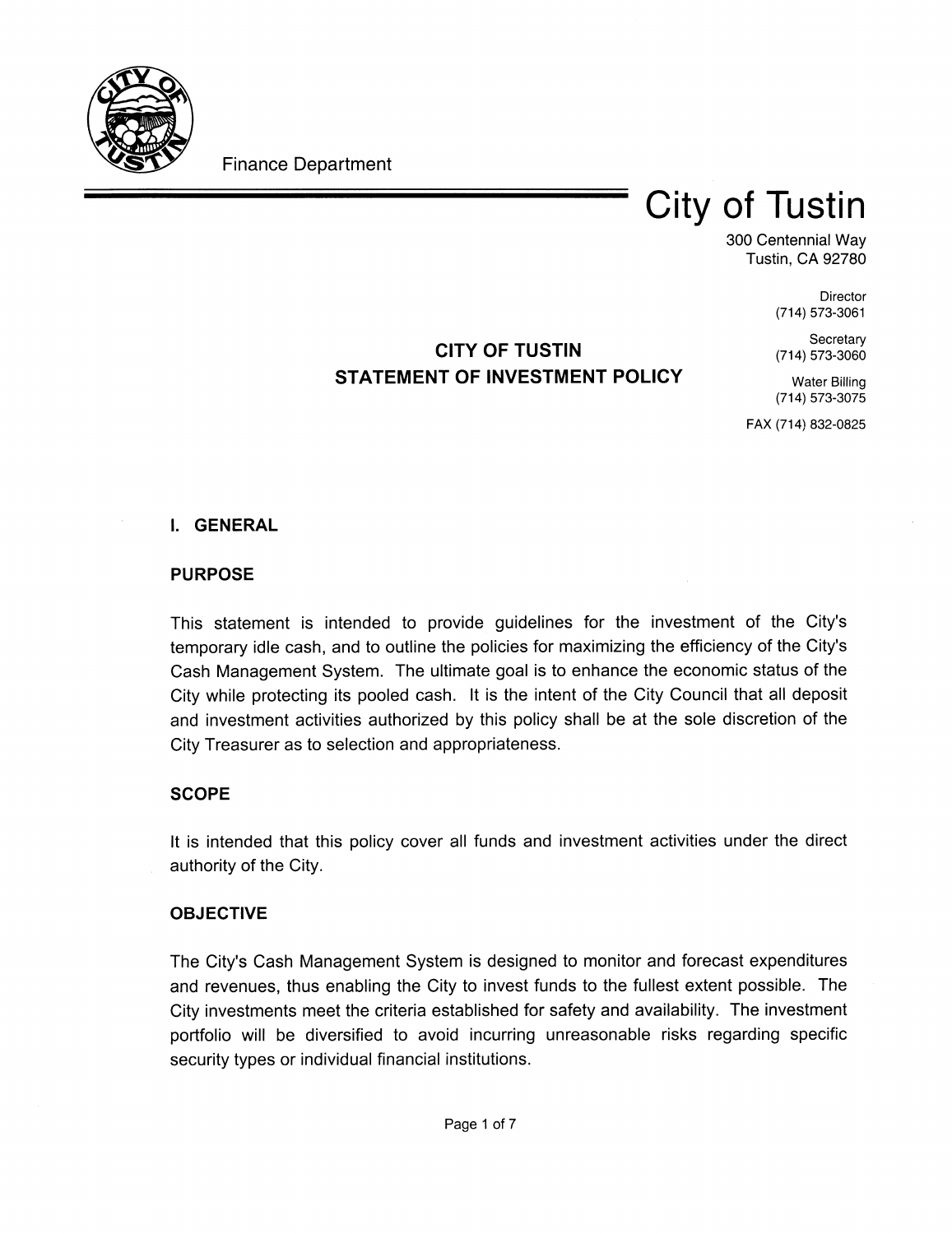

Finance Department

## **City of Tustin**

300 Centennial Wav **Tustin, CA 92780** 

> Director (714) 573-3061

> Secretary (714) 573-3060

## CITY OF TUSTIN STATEMENT OF INVESTMENT POLICY

**Water Billing** (714) 573-3075

FAX (714) 832-0825

## **I. GENERAL**

## PURPOSE

This statement is intended to provide guidelines for the investment of the City's temporary idle cash, and to outline the policies for maximizing the efficiency of the City's Cash Management System. The ultimate goal is to enhance the economic status of the City while protecting its pooled cash. It is the intent of the City Council that all deposit and investment activities authorized by this policy shall be at the sole discretion of the City Treasurer as to selection and appropriateness

## **SCOPE**

It is intended that this policy cover all funds and investment activities under the direct authority of the City

## OBJECTIVE

**ОВЈЕСТІ**<br>The City's<br>and rever Cash Management System is designed to monitor and forecast expenditures and revenues, thus enabling the City to invest funds to the fullest extent possible. The City investments meet the criteria established for safety and availability. The investment portfolio will be diversified to avoid incurring unreasonable risks regarding specific security types or individual financial institutions.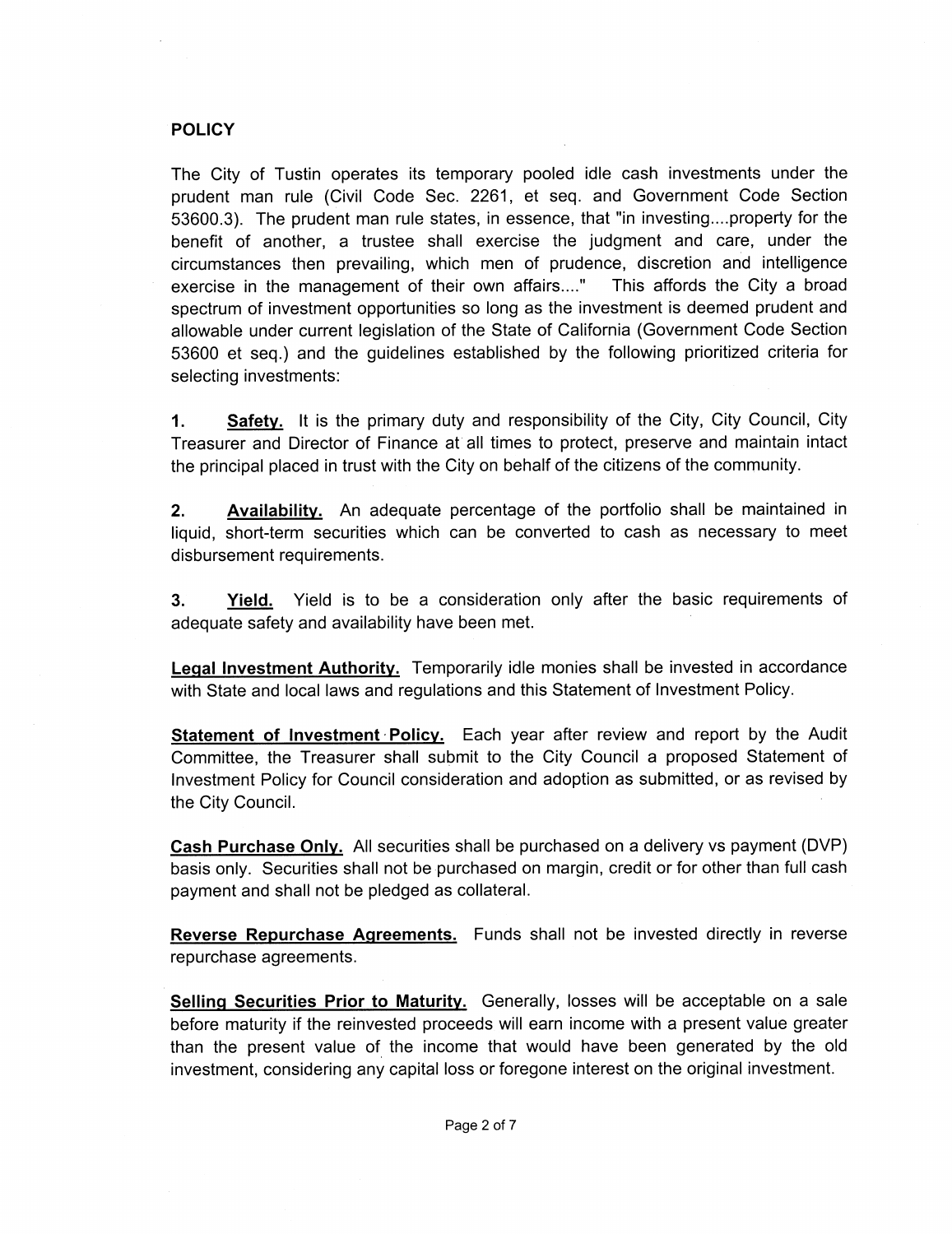#### **POLICY**

The City of Tustin operates its temporary pooled idle cash investments under the prudent man rule (Civil Code Sec. 2261, et seq. and Government Code Section FOLICY<br>The City of Tustin operates its temporary pooled idle cash investments under the<br>prudent man rule (Civil Code Sec. 2261, et seq. and Government Code Section<br>53600.3). The prudent man rule states, in essence, that "i benefit of another, a trustee shall exercise the judgment and care, under the circumstances then prevailing, which men of prudence, discretion and intelligence exercise in the management of their own affairs...." This affords the City a broad spectrum of investment opportunities so long as the investment is deemed prudent and allowable under current legislation of the State of California Government Code Section 53600 et seq.) and the guidelines established by the following prioritized criteria for selecting investments

1. Safety. It is the primary duty and responsibility of the City, City Council, City Treasurer and Director of Finance at all times to protect, preserve and maintain intact the principal placed in trust with the City on behalf of the citizens of the community.

**2.** Availability. An adequate percentage of the portfolio shall be maintained in liquid, short-term securities which can be converted to cash as necessary to meet disbursement requirements

**3.** Yield. Yield is to be a consideration only after the basic requirements of adequate safety and availability have been met

Legal Investment Authority. Temporarily idle monies shall be invested in accordance with State and local laws and regulations and this Statement of Investment Policy.

**Statement of Investment Policy.** Each year after review and report by the Audit Committee, the Treasurer shall submit to the City Council a proposed Statement of Investment Policy for Council consideration and adoption as submitted, or as revised by the City Council

Cash Purchase Only. All securities shall be purchased on a delivery vs payment (DVP) basis only. Securities shall not be purchased on margin, credit or for other than full cash payment and shall not be pledged as collateral

**Reverse Repurchase Agreements.** Funds shall not be invested directly in reverse repurchase agreements

Selling Securities Prior to Maturity. Generally, losses will be acceptable on a sale before maturity if the reinvested proceeds will earn income with a present value greater than the present value of the income that would have been generated by the old investment, considering any capital loss or foregone interest on the original investment.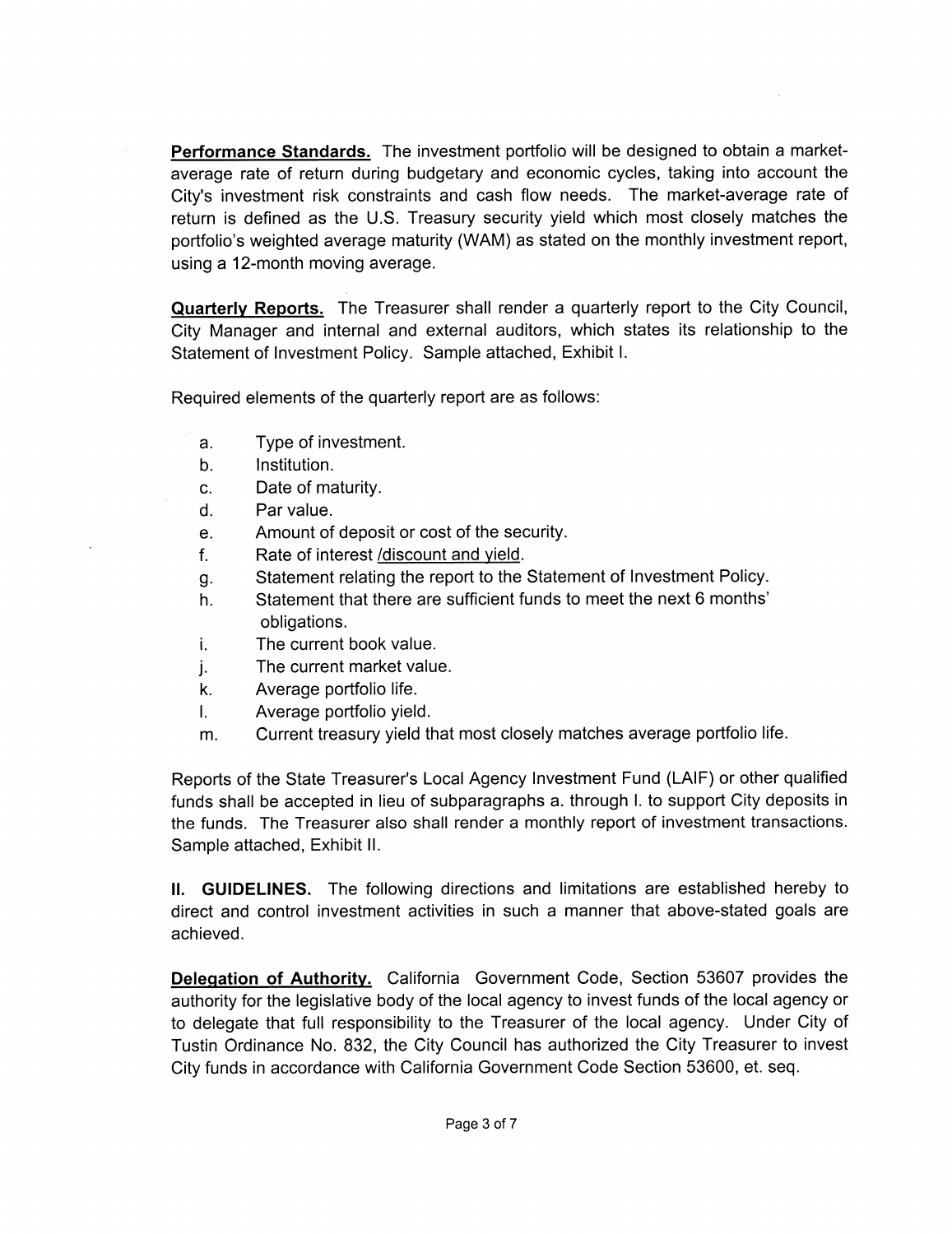Performance Standards. The investment portfolio will be designed to obtain a marketaverage rate of return during budgetary and economic cycles, taking into account the **Performance Standards.** The investment portfolio will be designed to obtain a market-average rate of return during budgetary and economic cycles, taking into account the City's investment risk constraints and cash flow ne City's investment risk constraints and cash flow needs. The market-average rate of return is defined as the U.S. Treasury security yield which most closely matches the portfolio's weighted average maturity (WAM) as stated on the monthly investment report, using a 12-month moving average.

Quarterly Reports. The Treasurer shall render a quarterly report to the City Council, City Manager and internal and external auditors, which states its relationship to the Statement of Investment Policy. Sample attached, Exhibit I.

Required elements of the quarterly report are as follows

- a Type of investment
- b. Institution.
- c. Date of maturity.
- d. Par value.
- e. Amount of deposit or cost of the security.
- f. Rate of interest /discount and yield.
- Statement relating the report to the Statement of Investment Policy
- g.<br>h. Statement that there are sufficient funds to meet the next 6 months' obligations
- i. The current book value.
- The current market value
- j.<br>k. Average portfolio life.
- I. Average portfolio yield.
- m. Current treasury yield that most closely matches average portfolio life.

Frequency of the State Treasurer's Local Agency Investment Fund (LAIF) or other qualified<br>funds shall be accepted in lieu of subparagraphs athrough Ito support City deposits in<br>the funds shall be accepted in lieu of subpar the funds. The Treasurer also shall render a monthly report of investment transactions. Sample attached, Exhibit II.

II. GUIDELINES. The following directions and limitations are established hereby to direct and control investment activities in such <sup>a</sup> manner that above statedgoals are achieved

Delegation of Authority. California Government Code, Section 53607 provides the authority for the legislative body of the local agency to invest funds of the local agency or to delegate that full responsibility to the Treasurer of the local agency. Under City of Tustin Ordinance No. 832, the City Council has authorized the City Treasurer to invest City funds in accordance with California Government Code Section 53600, et. seq.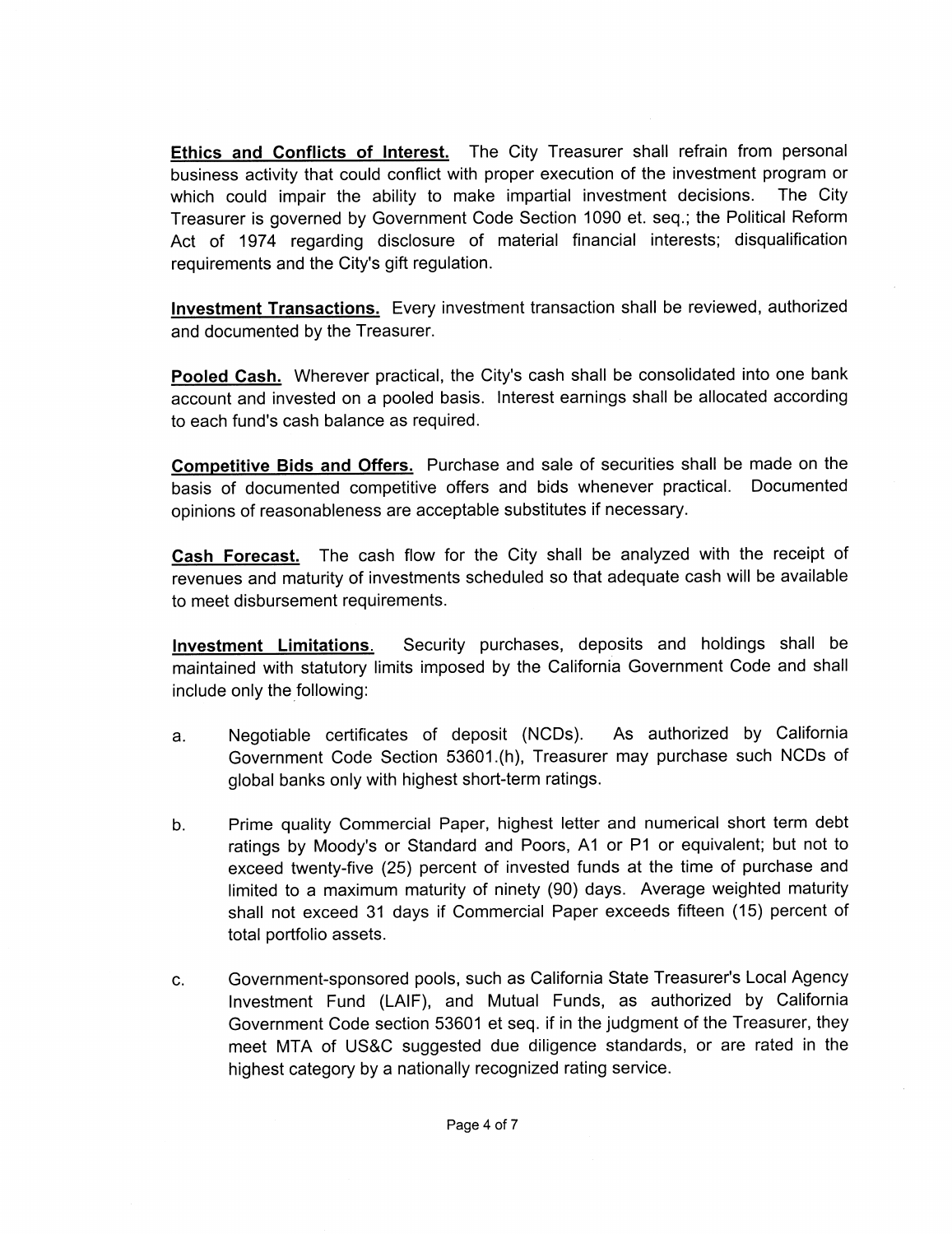Ethics and Conflicts of Interest. The City Treasurer shall refrain from personal business activity that could conflict with proper execution of the investment program or which could impair the ability to make impartial investment decisions. The City Treasurer is governed by Government Code Section 1090 et. seq.; the Political Reform Act of 1974 regarding disclosure of material financial interests; disqualification Treasurer is governed by Government Cc<br>Act of 1974 regarding disclosure of<br>requirements and the City's gift regulation.

Investment Transactions. Every investment transaction shall be reviewed, authorized and documented by the Treasurer

and documented by the Treasurer.<br><mark>Pooled Cash.</mark> Wherever practical, the City's cash shall be consolidated into one bank<br>account and invested on a pooled basis. Interest earnings shall be allocated according account and invested on a pooled basis Interest earnings shall be allocated according Pooled Cash. Wherever practical, the account and invested on a pooled basis<br>to each fund's cash balance as required.

Competitive Bids and Offers. Purchase and sale of securities shall be made on the basis of documented competitive offers and bids whenever practical. Documented opinions of reasonableness are acceptable substitutes if necessary

Cash Forecast. The cash flow for the City shall be analyzed with the receipt of revenues and maturity of investments scheduled so that adequate cash will be available to meet disbursement requirements

Investment Limitations. Security purchases, deposits and holdings shall be include only the following

- maintained with statutory limits imposed by the California Government Code and shall<br>include only the following:<br>a. Negotiable certificates of deposit (NCDs). As authorized by California<br>Government Code Section 53601.(h), a. Negotiable certificates of deposit (NCDs). As authorized by California<br>Government Code Section 53601.(h), Treasurer may purchase such NCDs of global banks only with highest short-term ratings.
- b. Prime quality Commercial Paper, highest letter and numerical short term debt Government Code Section 53601.(h), Treasurer may purchase such NCDs of<br>global banks only with highest short-term ratings.<br>Prime quality Commercial Paper, highest letter and numerical short term debt<br>ratings by Moody's or S ratings by Moody's or Standard and Poors, A1 or P1 or equivalent; but not to exceed twenty-five (25) percent of invested funds at the time of purchase and limited to a maximum maturity of ninety (90) days. Average weighted maturity shall not exceed 31 days if Commercial Paper exceeds fifteen (15) percent of total portfolio assets exceed twenty-five (25) percent of invested funds at the time of purchase and<br>
limited to a maximum maturity of ninety (90) days. Average weighted maturity<br>
shall not exceed 31 days if Commercial Paper exceeds fifteen (15)
- Government Code section 53601 et seq. if in the judgment of the Treasurer, they meet MTA of US&C suggested due diligence standards, or are rated in the highest category by a nationally recognized rating service.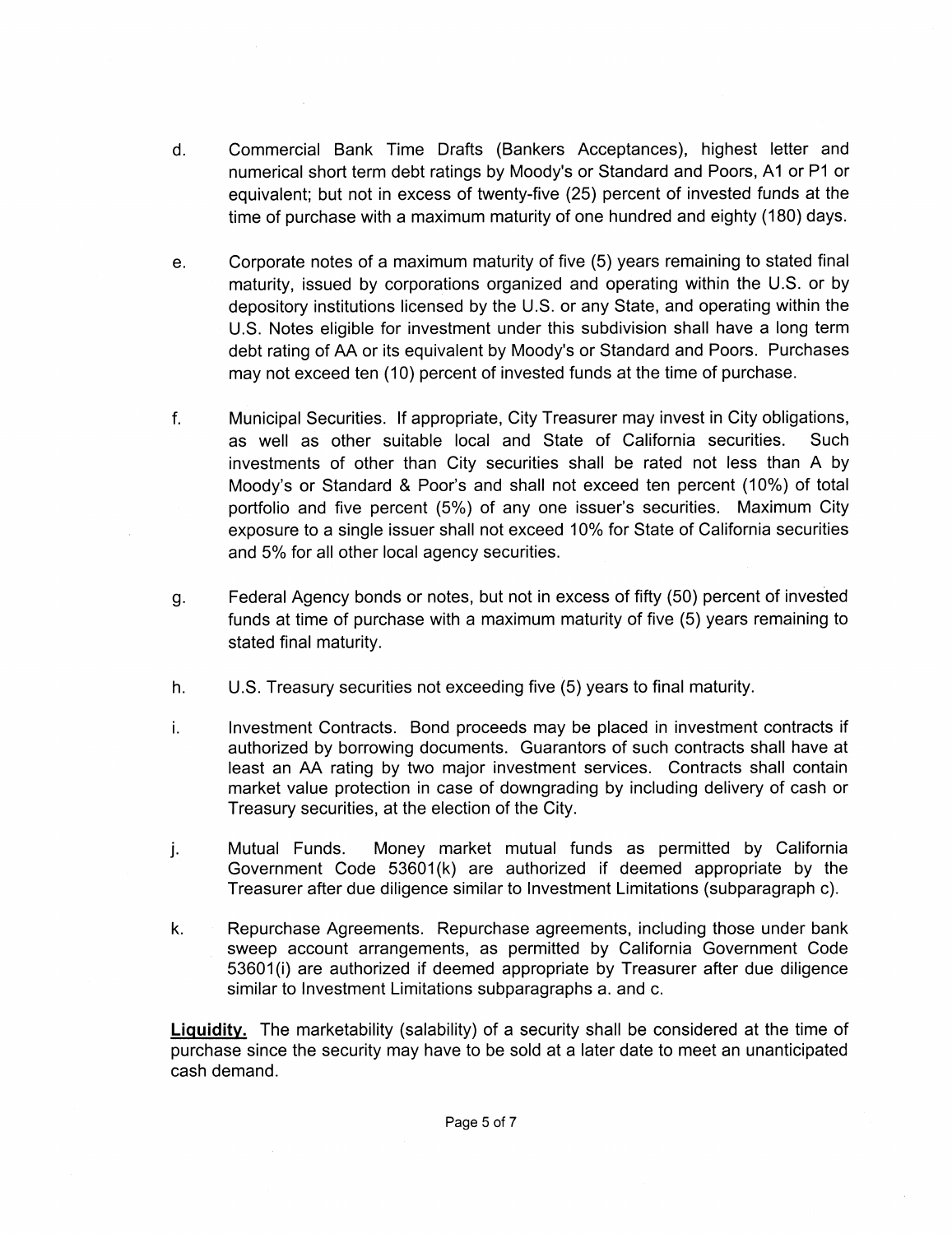- d. Commercial Bank Time Drafts (Bankers Acceptances), highest letter and Commercial Bank Time Drafts (Bankers Acceptances), highest letter and<br>numerical short term debt ratings by Moody's or Standard and Poors, A1 or P1 or<br>equivalent; but not in excess of twenty-five (25) percent of invested fu numerical short term debt ratings by Moody's or Standard and Poors, A1 or P1 or equivalent; but not in excess of twenty-five (25) percent of invested funds at the time of purchase with a maximum maturity of one hundred and eighty (180) days.
- e. Corporate notes of a maximum maturity of five (5) years remaining to stated final<br>maturity, issued by corporations organized and operating within the U.S. or by depository institutions licensed by the U.S. or any State, and operating within the U.S. or by depository institutions licensed by the U.S. or any State, and operating within the U.S. Notes eligible for investment under th U.S. Notes eligible for investment under this subdivision shall have a long term debt rating of AA or its equivalent by Moody's or Standard and Poors. Purchases may not exceed ten (10) percent of invested funds at the time of purchase.
- f. Municipal Securities. If appropriate, City Treasurer may invest in City obligations, as well as other suitable local and State of California securities. Such investments of other than City securities shall be rated not less than A by Municipal Securities. If appropriate, City Treasurer may invest in City obligations,<br>as well as other suitable local and State of California securities. Such<br>investments of other than City securities shall be rated not les exposure to a single issuer shall not exceed 10% for State of California securities and 5% for all other local agency securities.
- g Federal Agency bonds or notes, but not in excess of fifty (50) percent of invested funds at time of purchase with a maximum maturity of five (5) years remaining to stated final maturity
- h.  $U.S.$  Treasury securities not exceeding five  $(5)$  years to final maturity.
- i. Investment Contracts. Bond proceeds may be placed in investment contracts if authorized by borrowing documents. Guarantors of such contracts shall have at least an AA rating by two major investment services. Contracts shall contain market value protection in case of downgrading by including delivery of cash or Treasury securities, at the election of the City.
- Treasury securities, at the election of the City.<br>j. Mutual Funds. Money market mutual funds as permitted by California<br>Government Code 53601(k) are authorized if deemed appropriate by the Matalah Fanas. Money manter matalah langu api permitted by calibride<br>Government Code 53601(k) are authorized if deemed appropriate by the Treasurer after due diligence similar to Investment Limitations (subparagraph c).
- k. Repurchase Agreements. Repurchase agreements, including those under bank sweep account arrangements, as permitted by California Government Code Treasure<br>Repurcha<br>sweep a<br>53601(i)<br>similar to 53601(i) are authorized if deemed appropriate by Treasurer after due diligence similar to Investment Limitations subparagraphs a. and c.

Liquidity. The marketability (salability) of a security shall be considered at the time of purchase since the security may have to be sold at a later date to meet an unanticipated cash demand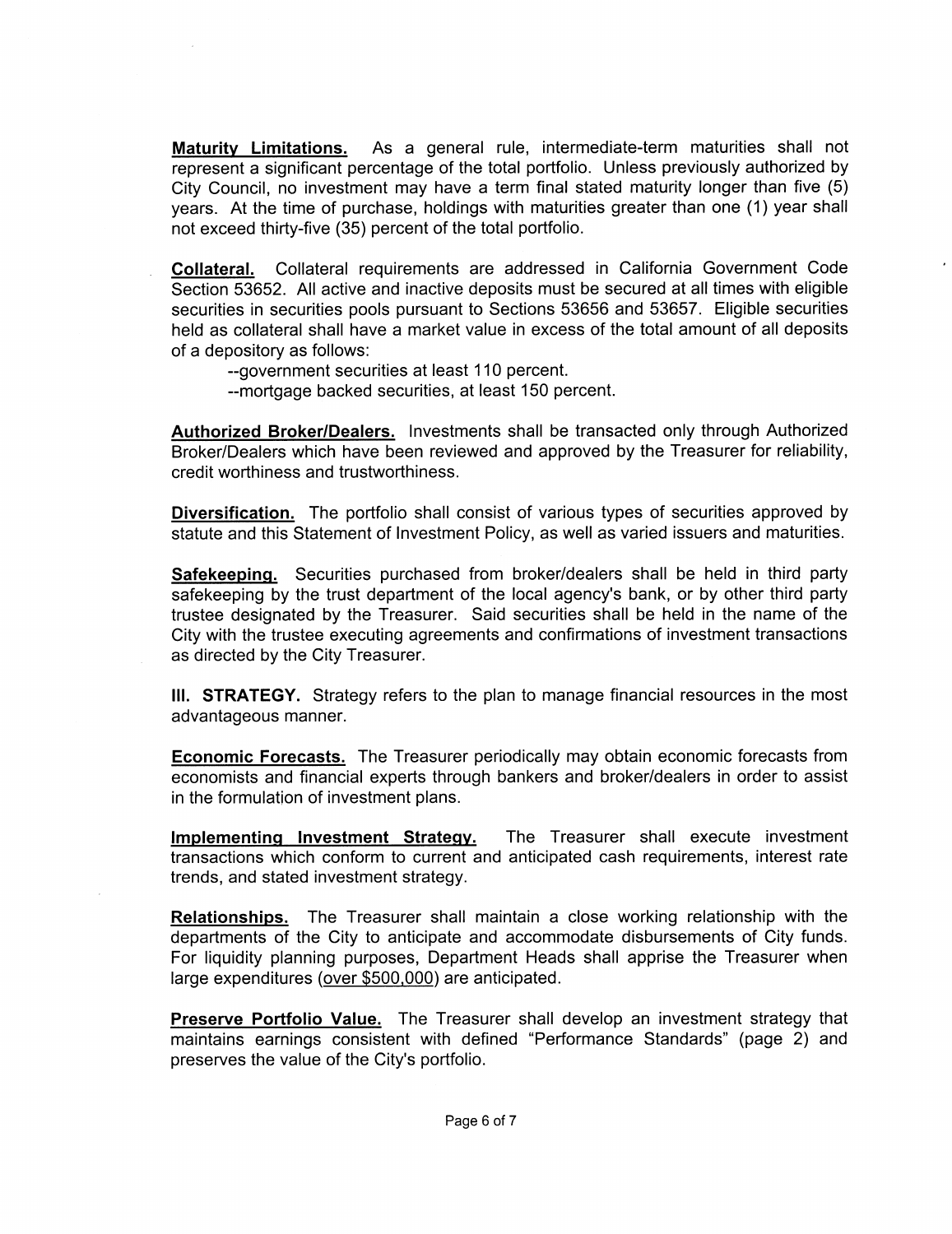Maturity Limitations. As a general rule, intermediate-term maturities shall not represent a significant percentage of the total portfolio. Unless previously authorized by City Council, no investment may have a term final stated maturity longer than five (5) years. At the time of purchase, holdings with maturities greater than one (1) year shall not exceed thirty-five (35) percent of the total portfolio.

Collateral. Collateral requirements are addressed in California Government Code Section 53652 All active and inactive deposits must be secured at all times with eligible securities in securities pools pursuant to Sections 53656 and 53657 Eligible securities held as collateral shall have a market value in excess of the total amount of all deposits of <sup>a</sup> depository as follows

--government securities at least 110 percent.

--mortgage backed securities, at least 150 percent.

Authorized Broker/Dealers. Investments shall be transacted only through Authorized Broker/Dealers which have been reviewed and approved by the Treasurer for reliability, credit worthiness and trustworthiness

Diversification. The portfolio shall consist of various types of securities approved by statute and this Statement of Investment Policy, as well as varied issuers and maturities.

Safekeeping. Securities purchased from broker/dealers shall be held in third party **Diversification.** The portfolio shall consist of various types of securities approved by statute and this Statement of Investment Policy, as well as varied issuers and maturities. **Safekeeping.** Securities purchased from trustee designated by the Treasurer. Said securities shall be held in the name of the City with the trustee executing agreements and confirmations of investment transactions as directed by the City Treasurer

III. STRATEGY. Strategy refers to the plan to manage financial resources in the most advantageous manner

**Economic Forecasts.** The Treasurer periodically may obtain economic forecasts from economists and financial experts through bankers and brokerldealers in order to assist in the formulation of investment plans

Implementing Investment Strategy. The Treasurer shall execute investment transactions which conform to current and anticipated cash requirements, interest rate trends, and stated investment strategy.

**Relationships.** The Treasurer shall maintain a close working relationship with the departments of the City to anticipate and accommodate disbursements of City funds For liquidity planning purposes, Department Heads shall apprise the Treasurer when large expenditures (over  $$500,000$ ) are anticipated.

Preserve Portfolio Value. The Treasurer shall develop an investment strategy that maintains earnings consistent with defined Preserve Portfolio Value. The Treasu<br>maintains earnings consistent with def<br>preserves the value of the City's portfolio.